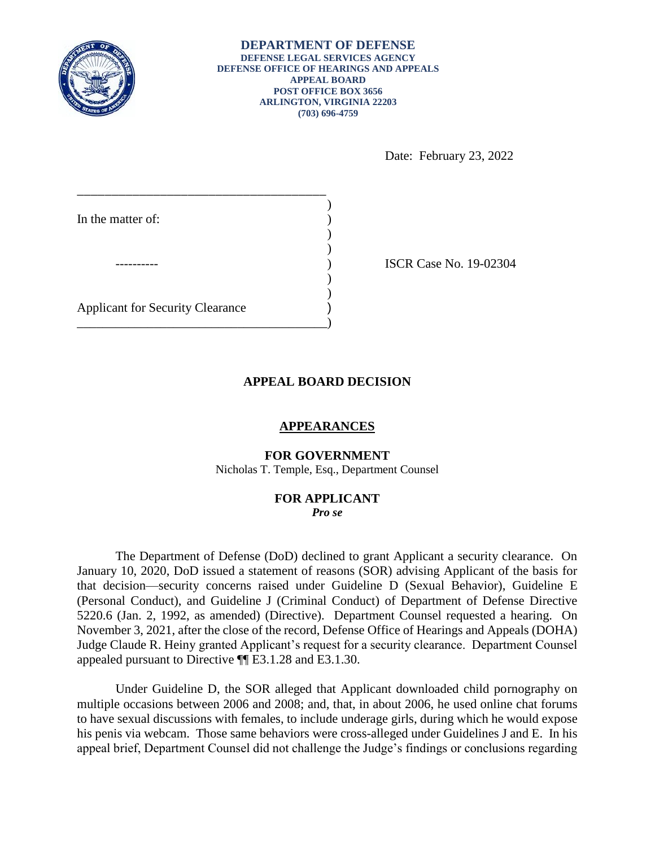

#### **DEPARTMENT OF DEFENSE DEFENSE LEGAL SERVICES AGENCY DEFENSE OFFICE OF HEARINGS AND APPEALS APPEAL BOARD POST OFFICE BOX 3656 ARLINGTON, VIRGINIA 22203 (703) 696-4759**

Date: February 23, 2022

| In the matter of:                       |  |
|-----------------------------------------|--|
|                                         |  |
|                                         |  |
|                                         |  |
| <b>Applicant for Security Clearance</b> |  |

ISCR Case No. 19-02304

# **APPEAL BOARD DECISION**

# **APPEARANCES**

# **FOR GOVERNMENT**

Nicholas T. Temple, Esq., Department Counsel

### **FOR APPLICANT**  *Pro se*

 The Department of Defense (DoD) declined to grant Applicant a security clearance. On January 10, 2020, DoD issued a statement of reasons (SOR) advising Applicant of the basis for (Personal Conduct), and Guideline J (Criminal Conduct) of Department of Defense Directive 5220.6 (Jan. 2, 1992, as amended) (Directive). Department Counsel requested a hearing. On Judge Claude R. Heiny granted Applicant's request for a security clearance. Department Counsel that decision—security concerns raised under Guideline D (Sexual Behavior), Guideline E November 3, 2021, after the close of the record, Defense Office of Hearings and Appeals (DOHA) appealed pursuant to Directive ¶¶ E3.1.28 and E3.1.30.

 Under Guideline D, the SOR alleged that Applicant downloaded child pornography on multiple occasions between 2006 and 2008; and, that, in about 2006, he used online chat forums to have sexual discussions with females, to include underage girls, during which he would expose his penis via webcam. Those same behaviors were cross-alleged under Guidelines J and E. In his appeal brief, Department Counsel did not challenge the Judge's findings or conclusions regarding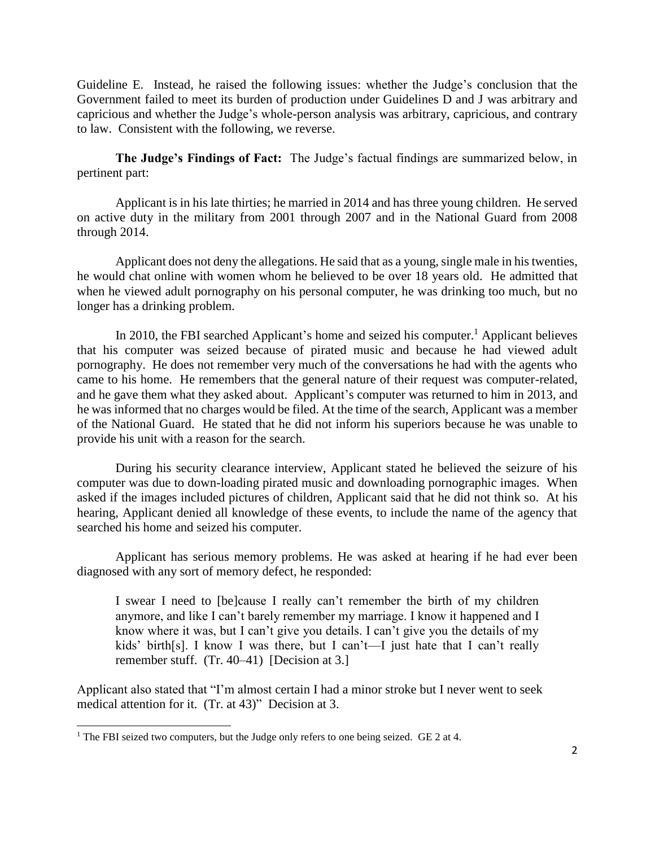capricious and whether the Judge's whole-person analysis was arbitrary, capricious, and contrary to law. Consistent with the following, we reverse. Guideline E. Instead, he raised the following issues: whether the Judge's conclusion that the Government failed to meet its burden of production under Guidelines D and J was arbitrary and

 **The Judge's Findings of Fact:** The Judge's factual findings are summarized below, in pertinent part:

 Applicant is in his late thirties; he married in 2014 and has three young children. He served on active duty in the military from 2001 through 2007 and in the National Guard from 2008 through 2014.

 Applicant does not deny the allegations. He said that as a young, single male in his twenties, he would chat online with women whom he believed to be over 18 years old. He admitted that when he viewed adult pornography on his personal computer, he was drinking too much, but no longer has a drinking problem.

 that his computer was seized because of pirated music and because he had viewed adult came to his home. He remembers that the general nature of their request was computer-related, he was informed that no charges would be filed. At the time of the search, Applicant was a member In 2010, the FBI searched Applicant's home and seized his computer.<sup>1</sup> Applicant believes pornography. He does not remember very much of the conversations he had with the agents who and he gave them what they asked about. Applicant's computer was returned to him in 2013, and of the National Guard. He stated that he did not inform his superiors because he was unable to provide his unit with a reason for the search.

 During his security clearance interview, Applicant stated he believed the seizure of his computer was due to down-loading pirated music and downloading pornographic images. When asked if the images included pictures of children, Applicant said that he did not think so. At his hearing, Applicant denied all knowledge of these events, to include the name of the agency that searched his home and seized his computer.

 Applicant has serious memory problems. He was asked at hearing if he had ever been diagnosed with any sort of memory defect, he responded:

 I swear I need to [be]cause I really can't remember the birth of my children anymore, and like I can't barely remember my marriage. I know it happened and I know where it was, but I can't give you details. I can't give you the details of my kids' birth[s]. I know I was there, but I can't—I just hate that I can't really remember stuff. (Tr. 40–41) [Decision at 3.]

Applicant also stated that "I'm almost certain I had a minor stroke but I never went to seek medical attention for it. (Tr. at 43)" Decision at 3.

l

<sup>&</sup>lt;sup>1</sup> The FBI seized two computers, but the Judge only refers to one being seized. GE 2 at 4.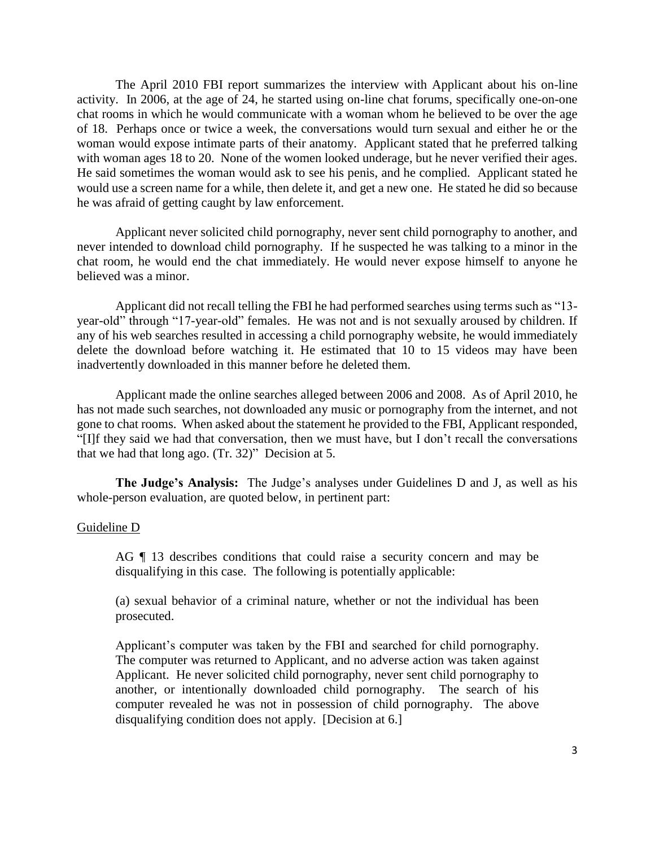The April 2010 FBI report summarizes the interview with Applicant about his on-line activity. In 2006, at the age of 24, he started using on-line chat forums, specifically one-on-one chat rooms in which he would communicate with a woman whom he believed to be over the age of 18. Perhaps once or twice a week, the conversations would turn sexual and either he or the woman would expose intimate parts of their anatomy. Applicant stated that he preferred talking with woman ages 18 to 20. None of the women looked underage, but he never verified their ages. He said sometimes the woman would ask to see his penis, and he complied. Applicant stated he would use a screen name for a while, then delete it, and get a new one. He stated he did so because he was afraid of getting caught by law enforcement.

 never intended to download child pornography. If he suspected he was talking to a minor in the chat room, he would end the chat immediately. He would never expose himself to anyone he Applicant never solicited child pornography, never sent child pornography to another, and believed was a minor.

 Applicant did not recall telling the FBI he had performed searches using terms such as "13- year-old" through "17-year-old" females. He was not and is not sexually aroused by children. If any of his web searches resulted in accessing a child pornography website, he would immediately delete the download before watching it. He estimated that 10 to 15 videos may have been inadvertently downloaded in this manner before he deleted them.

 Applicant made the online searches alleged between 2006 and 2008. As of April 2010, he has not made such searches, not downloaded any music or pornography from the internet, and not "[I]f they said we had that conversation, then we must have, but I don't recall the conversations gone to chat rooms. When asked about the statement he provided to the FBI, Applicant responded, that we had that long ago. (Tr. 32)" Decision at 5.

**The Judge's Analysis:** The Judge's analyses under Guidelines D and J, as well as his whole-person evaluation, are quoted below, in pertinent part:

### Guideline D

AG  $\parallel$  13 describes conditions that could raise a security concern and may be disqualifying in this case. The following is potentially applicable:

(a) sexual behavior of a criminal nature, whether or not the individual has been prosecuted.

 Applicant's computer was taken by the FBI and searched for child pornography. Applicant. He never solicited child pornography, never sent child pornography to The search of his computer revealed he was not in possession of child pornography. The above The computer was returned to Applicant, and no adverse action was taken against another, or intentionally downloaded child pornography. disqualifying condition does not apply. [Decision at 6.]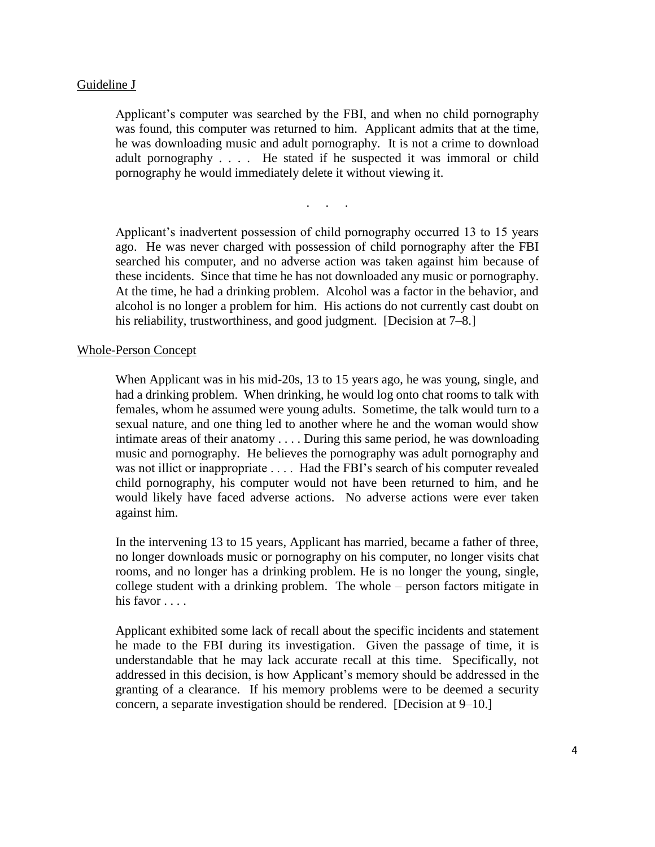# Guideline J

 Applicant's computer was searched by the FBI, and when no child pornography was found, this computer was returned to him. Applicant admits that at the time, he was downloading music and adult pornography. It is not a crime to download adult pornography . . . . He stated if he suspected it was immoral or child pornography he would immediately delete it without viewing it.

. . . .

 Applicant's inadvertent possession of child pornography occurred 13 to 15 years ago. He was never charged with possession of child pornography after the FBI these incidents. Since that time he has not downloaded any music or pornography. At the time, he had a drinking problem. Alcohol was a factor in the behavior, and alcohol is no longer a problem for him. His actions do not currently cast doubt on his reliability, trustworthiness, and good judgment. [Decision at 7–8.]<br>Whole-Person Concept searched his computer, and no adverse action was taken against him because of

 had a drinking problem. When drinking, he would log onto chat rooms to talk with females, whom he assumed were young adults. Sometime, the talk would turn to a sexual nature, and one thing led to another where he and the woman would show music and pornography. He believes the pornography was adult pornography and would likely have faced adverse actions. No adverse actions were ever taken When Applicant was in his mid-20s, 13 to 15 years ago, he was young, single, and intimate areas of their anatomy . . . . During this same period, he was downloading was not illict or inappropriate .... Had the FBI's search of his computer revealed child pornography, his computer would not have been returned to him, and he against him.

 In the intervening 13 to 15 years, Applicant has married, became a father of three, rooms, and no longer has a drinking problem. He is no longer the young, single, college student with a drinking problem. The whole – person factors mitigate in no longer downloads music or pornography on his computer, no longer visits chat his favor . . . .

 Applicant exhibited some lack of recall about the specific incidents and statement he made to the FBI during its investigation. Given the passage of time, it is understandable that he may lack accurate recall at this time. Specifically, not addressed in this decision, is how Applicant's memory should be addressed in the granting of a clearance. If his memory problems were to be deemed a security concern, a separate investigation should be rendered. [Decision at 9–10.]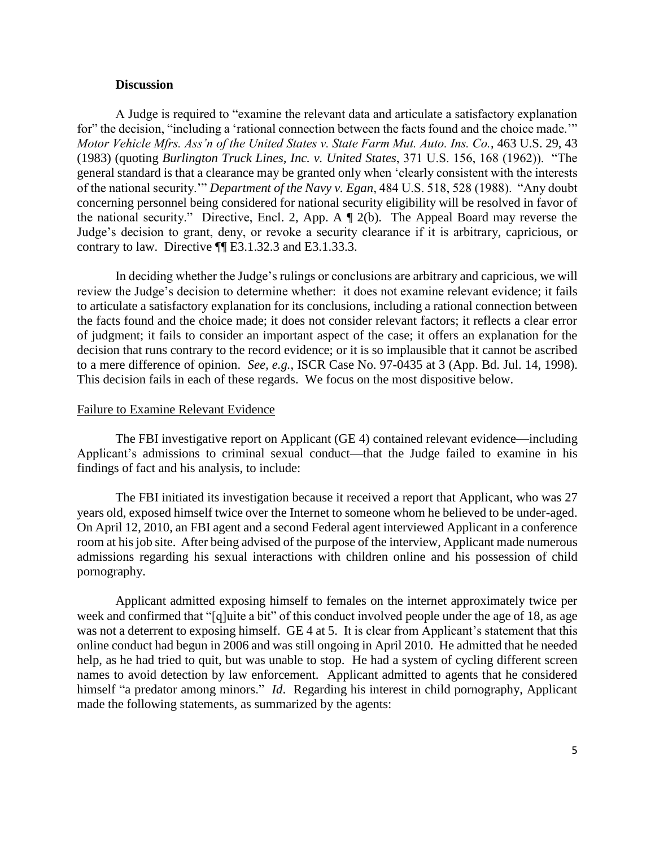# **Discussion**

 A Judge is required to "examine the relevant data and articulate a satisfactory explanation for" the decision, "including a 'rational connection between the facts found and the choice made."" (1983) (quoting *Burlington Truck Lines, Inc. v. United States*, 371 U.S. 156, 168 (1962)). "The general standard is that a clearance may be granted only when 'clearly consistent with the interests of the national security.'" *Department of the Navy v. Egan*, 484 U.S. 518, 528 (1988). "Any doubt concerning personnel being considered for national security eligibility will be resolved in favor of the national security." Directive, Encl. 2, App. A ¶ 2(b). The Appeal Board may reverse the Judge's decision to grant, deny, or revoke a security clearance if it is arbitrary, capricious, or *Motor Vehicle Mfrs. Ass'n of the United States v. State Farm Mut. Auto. Ins. Co.*, 463 U.S. 29, 43 contrary to law. Directive ¶¶ E3.1.32.3 and E3.1.33.3.

 In deciding whether the Judge's rulings or conclusions are arbitrary and capricious, we will review the Judge's decision to determine whether: it does not examine relevant evidence; it fails to articulate a satisfactory explanation for its conclusions, including a rational connection between the facts found and the choice made; it does not consider relevant factors; it reflects a clear error decision that runs contrary to the record evidence; or it is so implausible that it cannot be ascribed to a mere difference of opinion. *See, e.g.*, ISCR Case No. 97-0435 at 3 (App. Bd. Jul. 14, 1998). This decision fails in each of these regards. We focus on the most dispositive below. of judgment; it fails to consider an important aspect of the case; it offers an explanation for the

#### Failure to Examine Relevant Evidence

The FBI investigative report on Applicant (GE 4) contained relevant evidence—including Applicant's admissions to criminal sexual conduct—that the Judge failed to examine in his findings of fact and his analysis, to include:

 The FBI initiated its investigation because it received a report that Applicant, who was 27 On April 12, 2010, an FBI agent and a second Federal agent interviewed Applicant in a conference room at his job site. After being advised of the purpose of the interview, Applicant made numerous years old, exposed himself twice over the Internet to someone whom he believed to be under-aged. admissions regarding his sexual interactions with children online and his possession of child pornography.

 Applicant admitted exposing himself to females on the internet approximately twice per week and confirmed that "[q]uite a bit" of this conduct involved people under the age of 18, as age was not a deterrent to exposing himself. GE 4 at 5. It is clear from Applicant's statement that this online conduct had begun in 2006 and was still ongoing in April 2010. He admitted that he needed help, as he had tried to quit, but was unable to stop. He had a system of cycling different screen names to avoid detection by law enforcement. Applicant admitted to agents that he considered himself "a predator among minors." *Id*. Regarding his interest in child pornography, Applicant made the following statements, as summarized by the agents: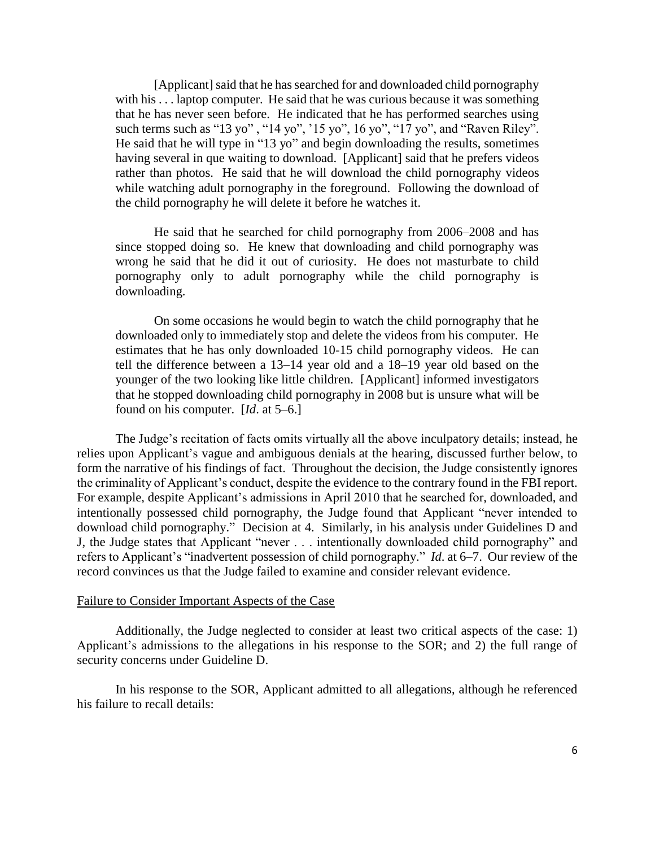with his . . . laptop computer. He said that he was curious because it was something that he has never seen before. He indicated that he has performed searches using He said that he will type in "13 yo" and begin downloading the results, sometimes rather than photos. He said that he will download the child pornography videos while watching adult pornography in the foreground. Following the download of [Applicant] said that he has searched for and downloaded child pornography such terms such as "13 yo", "14 yo", '15 yo", 16 yo", "17 yo", and "Raven Riley". having several in que waiting to download. [Applicant] said that he prefers videos the child pornography he will delete it before he watches it.

 He said that he searched for child pornography from 2006–2008 and has since stopped doing so. He knew that downloading and child pornography was wrong he said that he did it out of curiosity. He does not masturbate to child pornography only to adult pornography while the child pornography is downloading.

 On some occasions he would begin to watch the child pornography that he downloaded only to immediately stop and delete the videos from his computer. He estimates that he has only downloaded 10-15 child pornography videos. He can tell the difference between a 13–14 year old and a 18–19 year old based on the younger of the two looking like little children. [Applicant] informed investigators found on his computer. [*Id.* at  $5-6$ .] that he stopped downloading child pornography in 2008 but is unsure what will be

 form the narrative of his findings of fact. Throughout the decision, the Judge consistently ignores the criminality of Applicant's conduct, despite the evidence to the contrary found in the FBI report. intentionally possessed child pornography, the Judge found that Applicant "never intended to download child pornography." Decision at 4. Similarly, in his analysis under Guidelines D and refers to Applicant's "inadvertent possession of child pornography." *Id*. at 6–7. Our review of the The Judge's recitation of facts omits virtually all the above inculpatory details; instead, he relies upon Applicant's vague and ambiguous denials at the hearing, discussed further below, to For example, despite Applicant's admissions in April 2010 that he searched for, downloaded, and J, the Judge states that Applicant "never . . . intentionally downloaded child pornography" and record convinces us that the Judge failed to examine and consider relevant evidence.

#### Failure to Consider Important Aspects of the Case

 Additionally, the Judge neglected to consider at least two critical aspects of the case: 1) Applicant's admissions to the allegations in his response to the SOR; and 2) the full range of security concerns under Guideline D.

 In his response to the SOR, Applicant admitted to all allegations, although he referenced his failure to recall details: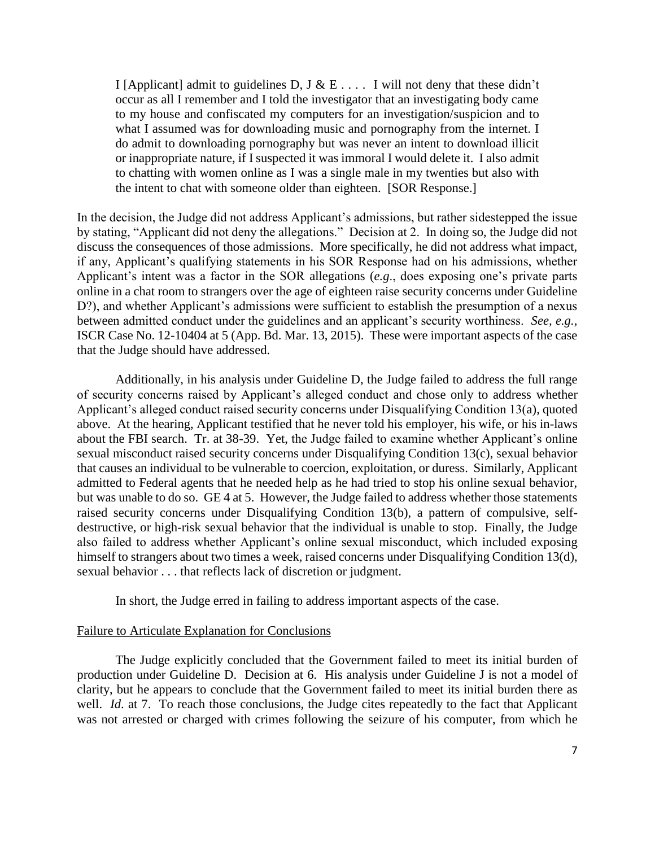I [Applicant] admit to guidelines D, J & E . . . . I will not deny that these didn't occur as all I remember and I told the investigator that an investigating body came to my house and confiscated my computers for an investigation/suspicion and to what I assumed was for downloading music and pornography from the internet. I or inappropriate nature, if I suspected it was immoral I would delete it. I also admit to chatting with women online as I was a single male in my twenties but also with the intent to chat with someone older than eighteen. [SOR Response.] do admit to downloading pornography but was never an intent to download illicit

the intent to chat with someone older than eighteen. [SOR Response.]<br>In the decision, the Judge did not address Applicant's admissions, but rather sidestepped the issue by stating, "Applicant did not deny the allegations." Decision at 2. In doing so, the Judge did not discuss the consequences of those admissions. More specifically, he did not address what impact, online in a chat room to strangers over the age of eighteen raise security concerns under Guideline between admitted conduct under the guidelines and an applicant's security worthiness. *See, e.g.,*  ISCR Case No. 12-10404 at 5 (App. Bd. Mar. 13, 2015). These were important aspects of the case if any, Applicant's qualifying statements in his SOR Response had on his admissions, whether Applicant's intent was a factor in the SOR allegations (*e.g*., does exposing one's private parts D?), and whether Applicant's admissions were sufficient to establish the presumption of a nexus that the Judge should have addressed.

 Additionally, in his analysis under Guideline D, the Judge failed to address the full range of security concerns raised by Applicant's alleged conduct and chose only to address whether about the FBI search. Tr. at 38-39. Yet, the Judge failed to examine whether Applicant's online admitted to Federal agents that he needed help as he had tried to stop his online sexual behavior, but was unable to do so. GE 4 at 5. However, the Judge failed to address whether those statements raised security concerns under Disqualifying Condition 13(b), a pattern of compulsive, self- destructive, or high-risk sexual behavior that the individual is unable to stop. Finally, the Judge Applicant's alleged conduct raised security concerns under Disqualifying Condition 13(a), quoted above. At the hearing, Applicant testified that he never told his employer, his wife, or his in-laws sexual misconduct raised security concerns under Disqualifying Condition 13(c), sexual behavior that causes an individual to be vulnerable to coercion, exploitation, or duress. Similarly, Applicant also failed to address whether Applicant's online sexual misconduct, which included exposing himself to strangers about two times a week, raised concerns under Disqualifying Condition 13(d), sexual behavior . . . that reflects lack of discretion or judgment.

In short, the Judge erred in failing to address important aspects of the case.

# Failure to Articulate Explanation for Conclusions

 The Judge explicitly concluded that the Government failed to meet its initial burden of production under Guideline D. Decision at 6. His analysis under Guideline J is not a model of well. *Id.* at 7. To reach those conclusions, the Judge cites repeatedly to the fact that Applicant was not arrested or charged with crimes following the seizure of his computer, from which he clarity, but he appears to conclude that the Government failed to meet its initial burden there as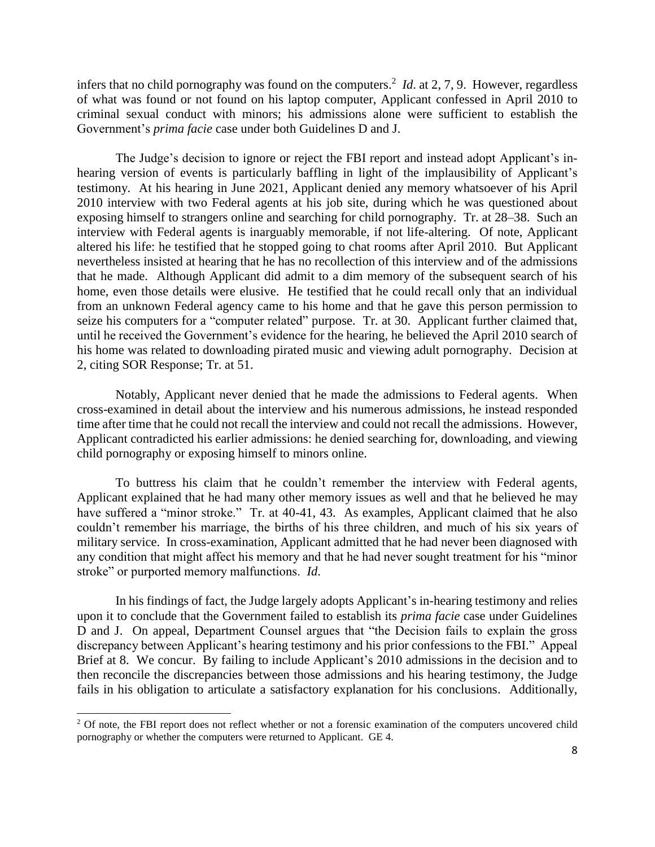infers that no child pornography was found on the computers. <sup>2</sup>*Id*. at 2, 7, 9. However, regardless Government's *prima facie* case under both Guidelines D and J. of what was found or not found on his laptop computer, Applicant confessed in April 2010 to criminal sexual conduct with minors; his admissions alone were sufficient to establish the

 testimony. At his hearing in June 2021, Applicant denied any memory whatsoever of his April 2010 interview with two Federal agents at his job site, during which he was questioned about exposing himself to strangers online and searching for child pornography. Tr. at 28–38. Such an altered his life: he testified that he stopped going to chat rooms after April 2010. But Applicant that he made. Although Applicant did admit to a dim memory of the subsequent search of his home, even those details were elusive. He testified that he could recall only that an individual from an unknown Federal agency came to his home and that he gave this person permission to seize his computers for a "computer related" purpose. Tr. at 30. Applicant further claimed that, until he received the Government's evidence for the hearing, he believed the April 2010 search of his home was related to downloading pirated music and viewing adult pornography. Decision at 2, citing SOR Response; Tr. at 51. 2, citing SOR Response; Tr. at 51.<br>Notably, Applicant never denied that he made the admissions to Federal agents. When The Judge's decision to ignore or reject the FBI report and instead adopt Applicant's inhearing version of events is particularly baffling in light of the implausibility of Applicant's interview with Federal agents is inarguably memorable, if not life-altering. Of note, Applicant nevertheless insisted at hearing that he has no recollection of this interview and of the admissions

 time after time that he could not recall the interview and could not recall the admissions. However, cross-examined in detail about the interview and his numerous admissions, he instead responded Applicant contradicted his earlier admissions: he denied searching for, downloading, and viewing child pornography or exposing himself to minors online.

 Applicant explained that he had many other memory issues as well and that he believed he may have suffered a "minor stroke." Tr. at 40-41, 43. As examples, Applicant claimed that he also stroke" or purported memory malfunctions. *Id*. To buttress his claim that he couldn't remember the interview with Federal agents, couldn't remember his marriage, the births of his three children, and much of his six years of military service. In cross-examination, Applicant admitted that he had never been diagnosed with any condition that might affect his memory and that he had never sought treatment for his "minor

 D and J. On appeal, Department Counsel argues that "the Decision fails to explain the gross discrepancy between Applicant's hearing testimony and his prior confessions to the FBI." Appeal Brief at 8. We concur. By failing to include Applicant's 2010 admissions in the decision and to then reconcile the discrepancies between those admissions and his hearing testimony, the Judge fails in his obligation to articulate a satisfactory explanation for his conclusions. Additionally, In his findings of fact, the Judge largely adopts Applicant's in-hearing testimony and relies upon it to conclude that the Government failed to establish its *prima facie* case under Guidelines

 $\overline{a}$ 

 $2^2$  Of note, the FBI report does not reflect whether or not a forensic examination of the computers uncovered child pornography or whether the computers were returned to Applicant. GE 4.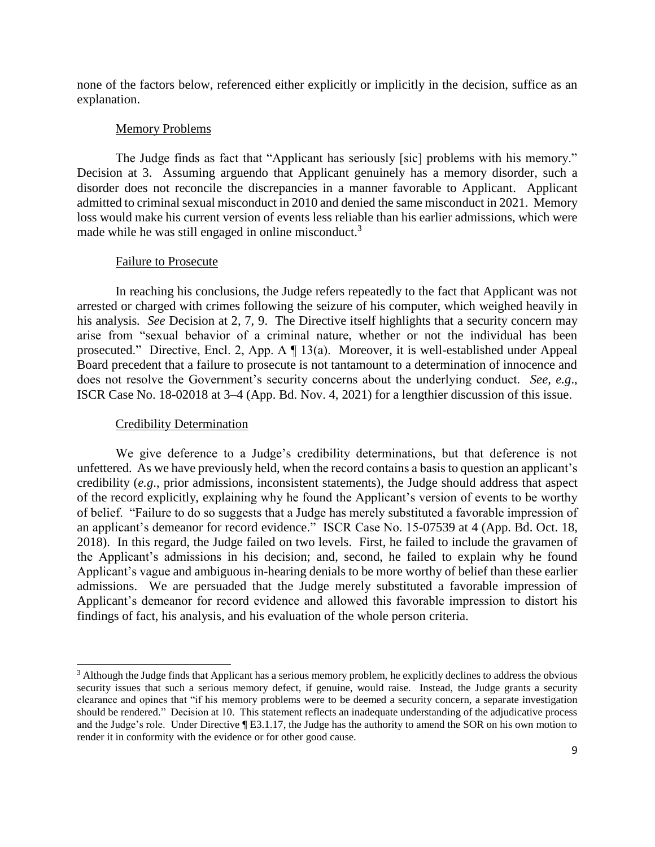none of the factors below, referenced either explicitly or implicitly in the decision, suffice as an explanation.

# Memory Problems

 The Judge finds as fact that "Applicant has seriously [sic] problems with his memory." Decision at 3. Assuming arguendo that Applicant genuinely has a memory disorder, such a loss would make his current version of events less reliable than his earlier admissions, which were made while he was still engaged in online misconduct.<sup>3</sup> disorder does not reconcile the discrepancies in a manner favorable to Applicant. Applicant admitted to criminal sexual misconduct in 2010 and denied the same misconduct in 2021. Memory

# Failure to Prosecute

 In reaching his conclusions, the Judge refers repeatedly to the fact that Applicant was not arrested or charged with crimes following the seizure of his computer, which weighed heavily in his analysis*. See* Decision at 2, 7, 9. The Directive itself highlights that a security concern may arise from "sexual behavior of a criminal nature, whether or not the individual has been prosecuted." Directive, Encl. 2, App. A ¶ 13(a). Moreover, it is well-established under Appeal Board precedent that a failure to prosecute is not tantamount to a determination of innocence and does not resolve the Government's security concerns about the underlying conduct. *See, e.g*., ISCR Case No. 18-02018 at 3–4 (App. Bd. Nov. 4, 2021) for a lengthier discussion of this issue.

#### Credibility Determination

 $\overline{a}$ 

 We give deference to a Judge's credibility determinations, but that deference is not unfettered. As we have previously held, when the record contains a basis to question an applicant's of the record explicitly, explaining why he found the Applicant's version of events to be worthy of belief. "Failure to do so suggests that a Judge has merely substituted a favorable impression of an applicant's demeanor for record evidence." ISCR Case No. 15-07539 at 4 (App. Bd. Oct. 18, 2018). In this regard, the Judge failed on two levels. First, he failed to include the gravamen of the Applicant's admissions in his decision; and, second, he failed to explain why he found Applicant's vague and ambiguous in-hearing denials to be more worthy of belief than these earlier admissions. We are persuaded that the Judge merely substituted a favorable impression of findings of fact, his analysis, and his evaluation of the whole person criteria. credibility (*e.g*., prior admissions, inconsistent statements), the Judge should address that aspect Applicant's demeanor for record evidence and allowed this favorable impression to distort his

<sup>&</sup>lt;sup>3</sup> Although the Judge finds that Applicant has a serious memory problem, he explicitly declines to address the obvious security issues that such a serious memory defect, if genuine, would raise. Instead, the Judge grants a security clearance and opines that "if his memory problems were to be deemed a security concern, a separate investigation should be rendered." Decision at 10. This statement reflects an inadequate understanding of the adjudicative process and the Judge's role. Under Directive  $\P$  E3.1.17, the Judge has the authority to amend the SOR on his own motion to render it in conformity with the evidence or for other good cause.